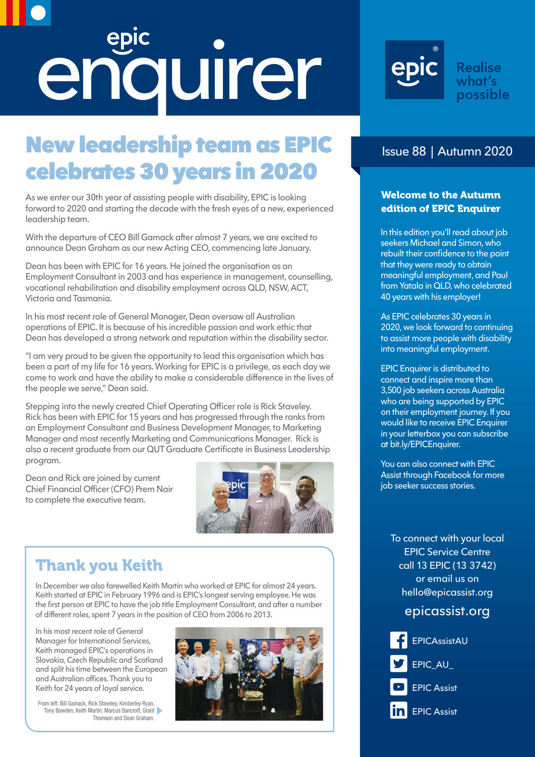# epic

# New leadership team as EPIC celebrates 30 years in 2020

As we enter our 30th year of assisting people with disability, EPIC is looking forward to 2020 and starting the decade with the fresh eyes of a new, experienced leadership team.

With the departure of CEO Bill Gamack after almost 7 years, we are excited to announce Dean Graham as our new Acting CEO, commencing late January.

Dean has been with EPIC for 16 years. He joined the organisation as an Employment Consultant in 2003 and has experience in management, counselling, vocational rehabilitation and disability employment across QLD, NSW, ACT, Victoria and Tasmania.

In his most recent role of General Manager, Dean oversaw all Australian operations of EPIC. It is because of his incredible passion and work ethic that Dean has developed a strong network and reputation within the disability sector.

"I am very proud to be given the opportunity to lead this organisation which has been a part of my life for 16 years. Working for EPIC is a privilege, as each day we come to work and have the ability to make a considerable difference in the lives of the people we serve," Dean said.

Stepping into the newly created Chief Operating Officer role is Rick Staveley. Rick has been with EPIC for 15 years and has progressed through the ranks from an Employment Consultant and Business Development Manager, to Marketing Manager and most recently Marketing and Communications Manager. Rick is also a recent graduate from our QUT Graduate Certificate in Business Leadership program.

Dean and Rick are joined by current Chief Financial Officer (CFO) Prem Nair to complete the executive team.



#### Thank you Keith

In December we also farewelled Keith Martin who worked at EPIC for almost 24 years. Keith started at EPIC in February 1996 and is EPIC's longest serving employee. He was the first person at EPIC to have the job title Employment Consultant, and after a number of different roles, spent 7 years in the position of CEO from 2006 to 2013.

In his most recent role of General Manager for International Services, Keith managed EPIC's operations in Slovakia, Czech Republic and Scotland and split his time between the European and Australian offices. Thank you to Keith for 24 years of loyal service.







#### **Realise** what's possible

#### Issue 88 | Autumn 2020

#### Welcome to the Autumn edition of EPIC Enquirer

In this edition you'll read about job seekers Michael and Simon, who rebuilt their confidence to the point that they were ready to obtain meaningful employment, and Paul from Yatala in QLD, who celebrated 40 years with his employer!

As EPIC celebrates 30 years in 2020, we look forward to continuing to assist more people with disability into meaningful employment.

EPIC Enquirer is distributed to connect and inspire more than 3,500 job seekers across Australia who are being supported by EPIC on their employment journey. If you would like to receive EPIC Enquirer in your letterbox you can subscribe at<bit.ly/EPICEnquirer>.

You can also connect with EPIC Assist through Facebook for more job seeker success stories.

To connect with your local EPIC Service Centre call [13 EPIC \(13 3742\)](tel:133742)  or email us on hello[@epicassist.org](mailto:hello%40epicassist.org?subject=)

#### [epicassist.org](http://epicassist.org)

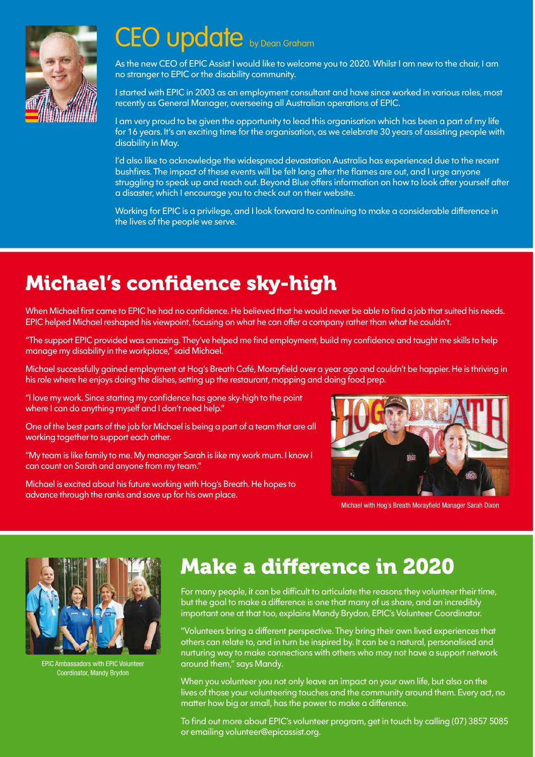

# CEO update by Dean Graham

As the new CEO of EPIC Assist I would like to welcome you to 2020. Whilst I am new to the chair, I am no stranger to EPIC or the disability community.

I started with EPIC in 2003 as an employment consultant and have since worked in various roles, most recently as General Manager, overseeing all Australian operations of EPIC.

I am very proud to be given the opportunity to lead this organisation which has been a part of my life for 16 years. It's an exciting time for the organisation, as we celebrate 30 years of assisting people with disability in May.

I'd also like to acknowledge the widespread devastation Australia has experienced due to the recent bushfires. The impact of these events will be felt long after the flames are out, and I urge anyone struggling to speak up and reach out. Beyond Blue offers information on how to look after yourself after a disaster, which I encourage you to check out on their website.

Working for EPIC is a privilege, and I look forward to continuing to make a considerable difference in the lives of the people we serve.

# Michael's confidence sky-high

When Michael first came to EPIC he had no confidence. He believed that he would never be able to find a job that suited his needs. EPIC helped Michael reshaped his viewpoint, focusing on what he can offer a company rather than what he couldn't.

"The support EPIC provided was amazing. They've helped me find employment, build my confidence and taught me skills to help manage my disability in the workplace," said Michael.

Michael successfully gained employment at Hog's Breath Café, Morayfield over a year ago and couldn't be happier. He is thriving in his role where he enjoys doing the dishes, setting up the restaurant, mopping and doing food prep.

"I love my work. Since starting my confidence has gone sky-high to the point where I can do anything myself and I don't need help."

One of the best parts of the job for Michael is being a part of a team that are all working together to support each other.

"My team is like family to me. My manager Sarah is like my work mum. I know I can count on Sarah and anyone from my team."

Michael is excited about his future working with Hog's Breath. He hopes to advance through the ranks and save up for his own place.



Michael with Hog's Breath Morayfield Manager Sarah Dixon



EPIC Ambassadors with EPIC Volunteer Coordinator, Mandy Brydon

# Make a difference in 2020

For many people, it can be difficult to articulate the reasons they volunteer their time, but the goal to make a difference is one that many of us share, and an incredibly important one at that too, explains Mandy Brydon, EPIC's Volunteer Coordinator.

"Volunteers bring a different perspective. They bring their own lived experiences that others can relate to, and in turn be inspired by. It can be a natural, personalised and nurturing way to make connections with others who may not have a support network around them," says Mandy.

When you volunteer you not only leave an impact on your own life, but also on the lives of those your volunteering touches and the community around them. Every act, no matter how big or small, has the power to make a difference.

To find out more about EPIC's volunteer program, get in touch by calling (07) 3857 5085 or emailing [volunteer@epicassist.org.](mailto:volunteer%40epicassist.org?subject=)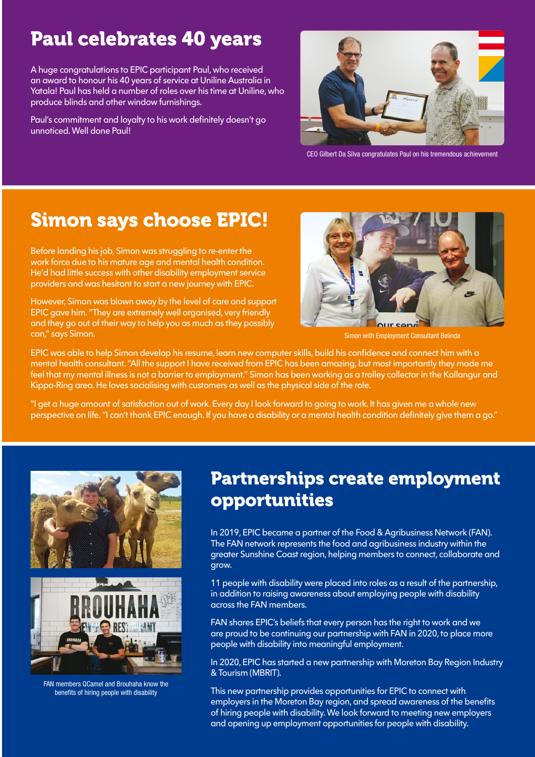## Paul celebrates 40 years

A huge congratulations to EPIC participant Paul, who received an award to honour his 40 years of service at Uniline Australia in Yatala! Paul has held a number of roles over his time at Uniline, who produce blinds and other window furnishings.

Paul's commitment and loyalty to his work definitely doesn't go unnoticed. Well done Paul!



CEO Gilbert Da Silva congratulates Paul on his tremendous achievement

### Simon says choose EPIC!

Before landing his job, Simon was struggling to re-enter the work force due to his mature age and mental health condition. He'd had little success with other disability employment service providers and was hesitant to start a new journey with EPIC.

However, Simon was blown away by the level of care and support EPIC gave him. "They are extremely well organised, very friendly and they go out of their way to help you as much as they possibly can," says Simon.



Simon with Employment Consultant Belinda

EPIC was able to help Simon develop his resume, learn new computer skills, build his confidence and connect him with a mental health consultant. "All the support I have received from EPIC has been amazing, but most importantly they made me feel that my mental illness is not a barrier to employment." Simon has been working as a trolley collector in the Kallangur and Kippa-Ring area. He loves socialising with customers as well as the physical side of the role.

"I get a huge amount of satisfaction out of work. Every day I look forward to going to work. It has given me a whole new perspective on life. "I can't thank EPIC enough. If you have a disability or a mental health condition definitely give them a go."



FAN members QCamel and Brouhaha know the benefits of hiring people with disability

### Partnerships create employment opportunities

In 2019, EPIC became a partner of the Food & Agribusiness Network (FAN). The FAN network represents the food and agribusiness industry within the greater Sunshine Coast region, helping members to connect, collaborate and grow.

11 people with disability were placed into roles as a result of the partnership, in addition to raising awareness about employing people with disability across the FAN members.

FAN shares EPIC's beliefs that every person has the right to work and we are proud to be continuing our partnership with FAN in 2020, to place more people with disability into meaningful employment.

In 2020, EPIC has started a new partnership with Moreton Bay Region Industry & Tourism (MBRIT).

This new partnership provides opportunities for EPIC to connect with employers in the Moreton Bay region, and spread awareness of the benefits of hiring people with disability. We look forward to meeting new employers and opening up employment opportunities for people with disability.